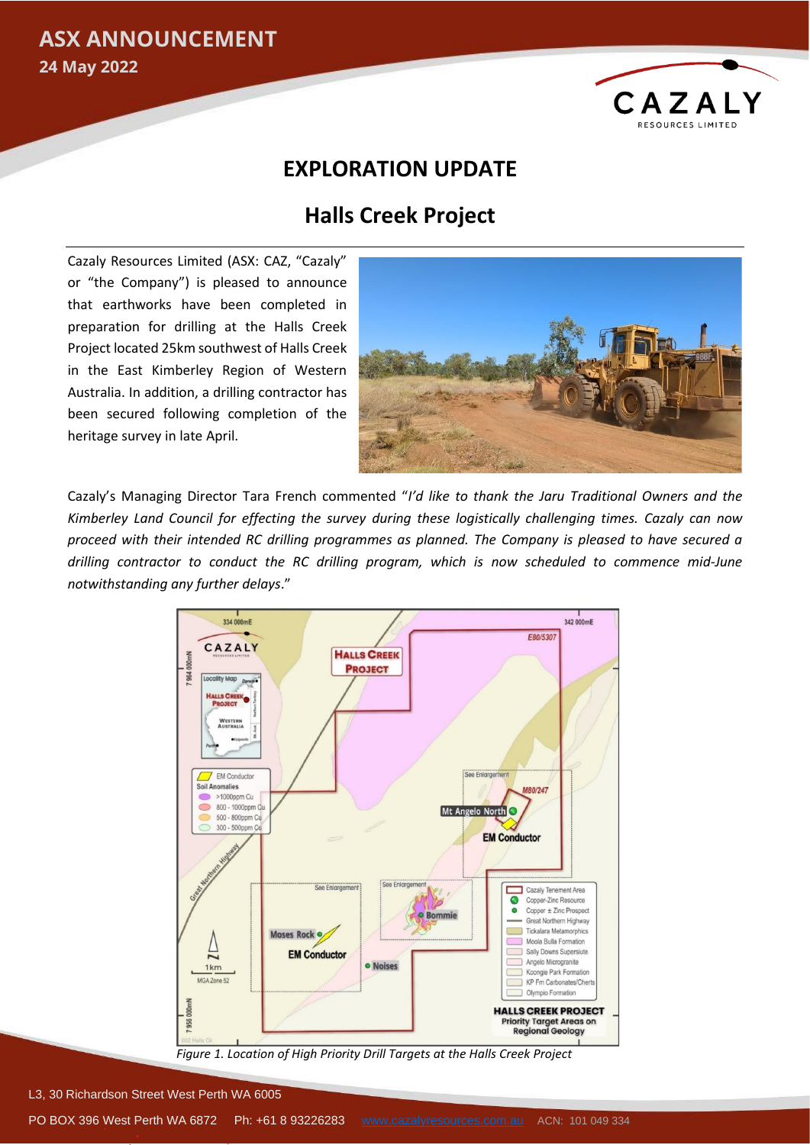### **ASX ANNOUNCEMENT**

**24 May 2022**



### **EXPLORATION UPDATE**

# **Halls Creek Project**

Cazaly Resources Limited (ASX: CAZ, "Cazaly" or "the Company") is pleased to announce that earthworks have been completed in preparation for drilling at the Halls Creek Project located 25km southwest of Halls Creek in the East Kimberley Region of Western Australia. In addition, a drilling contractor has been secured following completion of the heritage survey in late April.



Cazaly's Managing Director Tara French commented "*I'd like to thank the Jaru Traditional Owners and the Kimberley Land Council for effecting the survey during these logistically challenging times. Cazaly can now proceed with their intended RC drilling programmes as planned. The Company is pleased to have secured a drilling contractor to conduct the RC drilling program, which is now scheduled to commence mid-June notwithstanding any further delays*."



*Figure 1. Location of High Priority Drill Targets at the Halls Creek Project*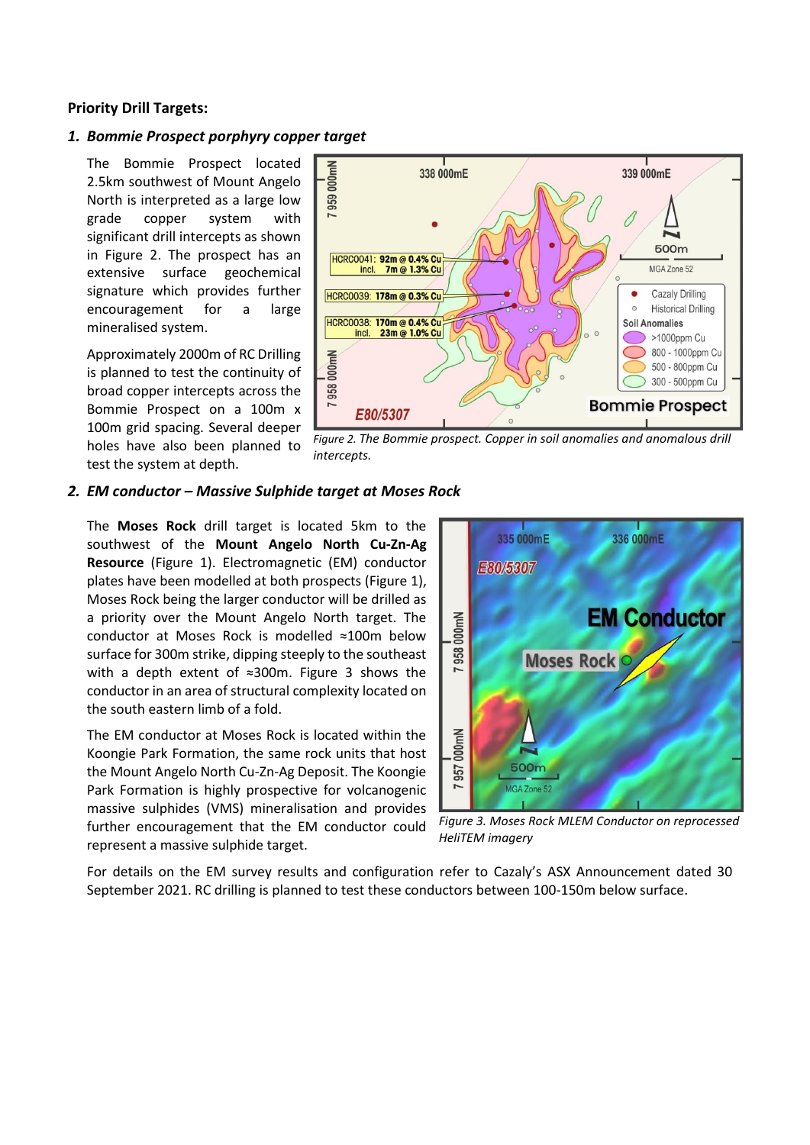### **Priority Drill Targets:**

#### *1. Bommie Prospect porphyry copper target*

The Bommie Prospect located 2.5km southwest of Mount Angelo North is interpreted as a large low grade copper system with significant drill intercepts as shown in Figure 2. The prospect has an extensive surface geochemical signature which provides further encouragement for a large mineralised system.

Approximately 2000m of RC Drilling is planned to test the continuity of broad copper intercepts across the Bommie Prospect on a 100m x 100m grid spacing. Several deeper holes have also been planned to test the system at depth.



*Figure 2. The Bommie prospect. Copper in soil anomalies and anomalous drill intercepts.*

#### *2. EM conductor – Massive Sulphide target at Moses Rock*

The **Moses Rock** drill target is located 5km to the southwest of the **Mount Angelo North Cu-Zn-Ag Resource** (Figure 1). Electromagnetic (EM) conductor plates have been modelled at both prospects (Figure 1), Moses Rock being the larger conductor will be drilled as a priority over the Mount Angelo North target. The conductor at Moses Rock is modelled ≈100m below surface for 300m strike, dipping steeply to the southeast with a depth extent of ≈300m. Figure 3 shows the conductor in an area of structural complexity located on the south eastern limb of a fold.

The EM conductor at Moses Rock is located within the Koongie Park Formation, the same rock units that host the Mount Angelo North Cu-Zn-Ag Deposit. The Koongie Park Formation is highly prospective for volcanogenic massive sulphides (VMS) mineralisation and provides further encouragement that the EM conductor could represent a massive sulphide target.



*Figure 3. Moses Rock MLEM Conductor on reprocessed HeliTEM imagery*

For details on the EM survey results and configuration refer to Cazaly's ASX Announcement dated 30 September 2021. RC drilling is planned to test these conductors between 100-150m below surface.